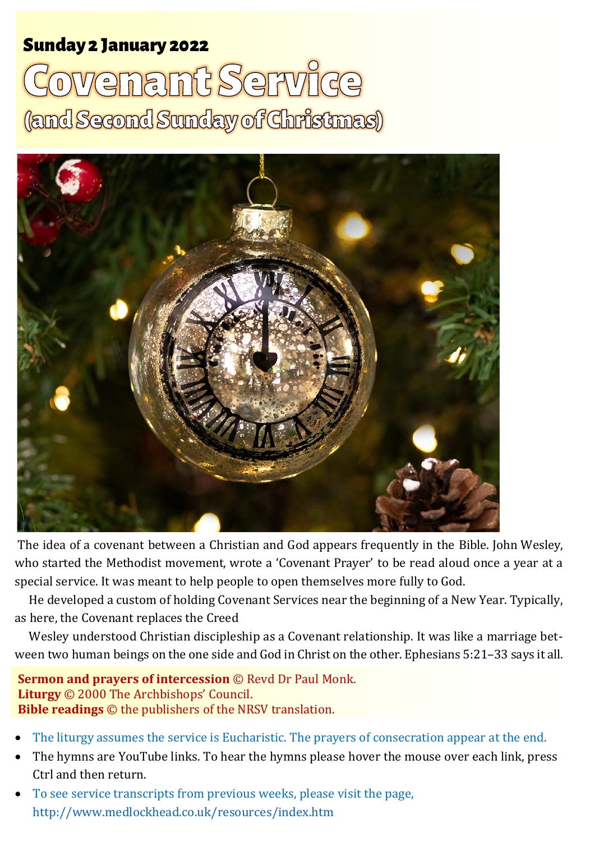# Sunday 2 January 2022 1 **Covenant Service** (and Second Sunday of Christmas) Sunday 2 January 2022<u>remamt Service</u> (and Second Sunday of Christmas)



The idea of a covenant between a Christian and God appears frequently in the Bible. John Wesley, who started the Methodist movement, wrote a 'Covenant Prayer' to be read aloud once a year at a special service. It was meant to help people to open themselves more fully to God.

He developed a custom of holding Covenant Services near the beginning of a New Year. Typically, as here, the Covenant replaces the Creed

Wesley understood Christian discipleship as a Covenant relationship. It was like a marriage between two human beings on the one side and God in Christ on the other. Ephesians 5:21–33 says it all.

**Sermon and prayers of intercession** © Revd Dr Paul Monk. **Liturgy** © 2000 The Archbishops' Council. **Bible readings** © the publishers of the NRSV translation.

- The liturgy assumes the service is Eucharistic. The prayers of consecration appear at the end.
- The hymns are YouTube links. To hear the hymns please hover the mouse over each link, press Ctrl and then return.
- To see service transcripts from previous weeks, please visit the page, <http://www.medlockhead.co.uk/resources/index.htm>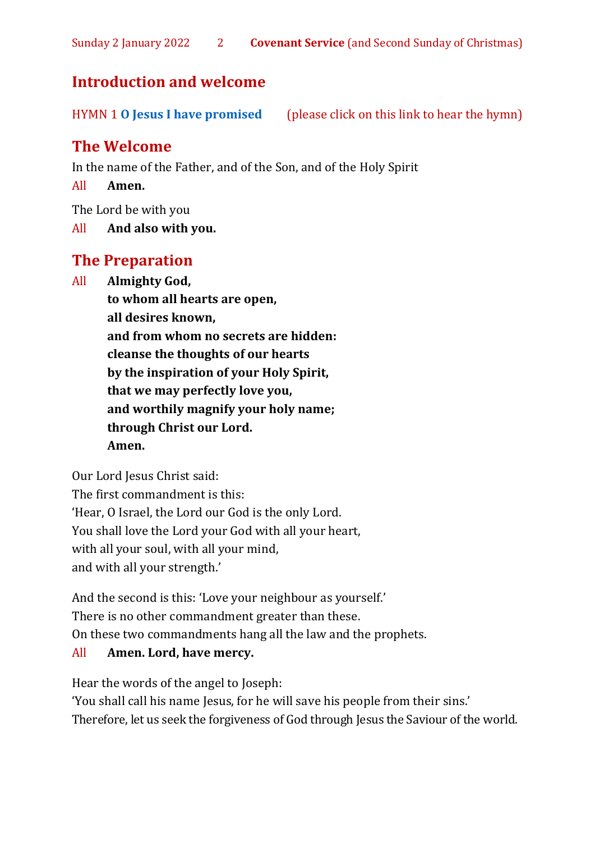# **Introduction and welcome**

HYMN 1 **[O Jesus I have promised](https://www.youtube.com/watch?v=9pjAnOf_Qd4)** (please click on this link to hear the hymn)

# **The Welcome**

In the name of the Father, and of the Son, and of the Holy Spirit

All **Amen.**

The Lord be with you

All **And also with you.**

## **The Preparation**

All **Almighty God,**

**to whom all hearts are open, all desires known, and from whom no secrets are hidden: cleanse the thoughts of our hearts by the inspiration of your Holy Spirit, that we may perfectly love you, and worthily magnify your holy name; through Christ our Lord. Amen.**

Our Lord Jesus Christ said:

The first commandment is this: 'Hear, O Israel, the Lord our God is the only Lord. You shall love the Lord your God with all your heart, with all your soul, with all your mind, and with all your strength.'

And the second is this: 'Love your neighbour as yourself.' There is no other commandment greater than these. On these two commandments hang all the law and the prophets.

#### All **Amen. Lord, have mercy.**

Hear the words of the angel to Joseph:

'You shall call his name Jesus, for he will save his people from their sins.' Therefore, let us seek the forgiveness of God through Jesus the Saviour of the world.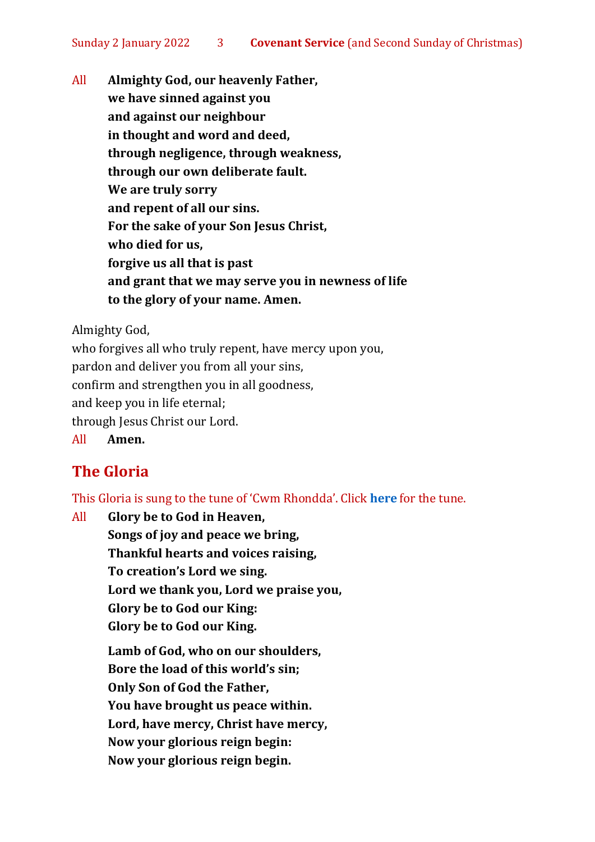All **Almighty God, our heavenly Father, we have sinned against you and against our neighbour in thought and word and deed, through negligence, through weakness, through our own deliberate fault. We are truly sorry and repent of all our sins. For the sake of your Son Jesus Christ, who died for us, forgive us all that is past and grant that we may serve you in newness of life to the glory of your name. Amen.**

Almighty God,

who forgives all who truly repent, have mercy upon you, pardon and deliver you from all your sins, confirm and strengthen you in all goodness, and keep you in life eternal; through Jesus Christ our Lord. All **Amen.**

# **The Gloria**

This Gloria is sung to the tune of 'Cwm Rhondda'. Click **[here](about:blank)** for the tune.

All **Glory be to God in Heaven, Songs of joy and peace we bring, Thankful hearts and voices raising, To creation's Lord we sing. Lord we thank you, Lord we praise you, Glory be to God our King: Glory be to God our King.**

> **Lamb of God, who on our shoulders, Bore the load of this world's sin; Only Son of God the Father, You have brought us peace within. Lord, have mercy, Christ have mercy, Now your glorious reign begin: Now your glorious reign begin.**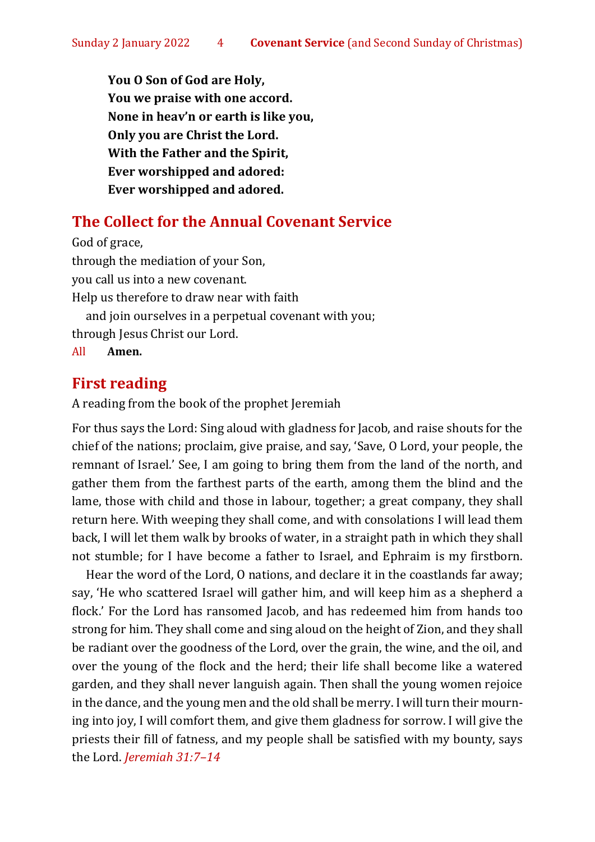**You O Son of God are Holy, You we praise with one accord. None in heav'n or earth is like you, Only you are Christ the Lord. With the Father and the Spirit, Ever worshipped and adored: Ever worshipped and adored.**

# **The Collect for the Annual Covenant Service**

God of grace, through the mediation of your Son, you call us into a new covenant. Help us therefore to draw near with faith and join ourselves in a perpetual covenant with you; through Jesus Christ our Lord. All **Amen.**

**First reading**

A reading from the book of the prophet Jeremiah

For thus says the Lord: Sing aloud with gladness for Jacob, and raise shouts for the chief of the nations; proclaim, give praise, and say, 'Save, O Lord, your people, the remnant of Israel.' See, I am going to bring them from the land of the north, and gather them from the farthest parts of the earth, among them the blind and the lame, those with child and those in labour, together; a great company, they shall return here. With weeping they shall come, and with consolations I will lead them back, I will let them walk by brooks of water, in a straight path in which they shall not stumble; for I have become a father to Israel, and Ephraim is my firstborn.

Hear the word of the Lord, O nations, and declare it in the coastlands far away; say, 'He who scattered Israel will gather him, and will keep him as a shepherd a flock.' For the Lord has ransomed Jacob, and has redeemed him from hands too strong for him. They shall come and sing aloud on the height of Zion, and they shall be radiant over the goodness of the Lord, over the grain, the wine, and the oil, and over the young of the flock and the herd; their life shall become like a watered garden, and they shall never languish again. Then shall the young women rejoice in the dance, and the young men and the old shall be merry. I will turn their mourning into joy, I will comfort them, and give them gladness for sorrow. I will give the priests their fill of fatness, and my people shall be satisfied with my bounty, says the Lord. *Jeremiah 31:7–14*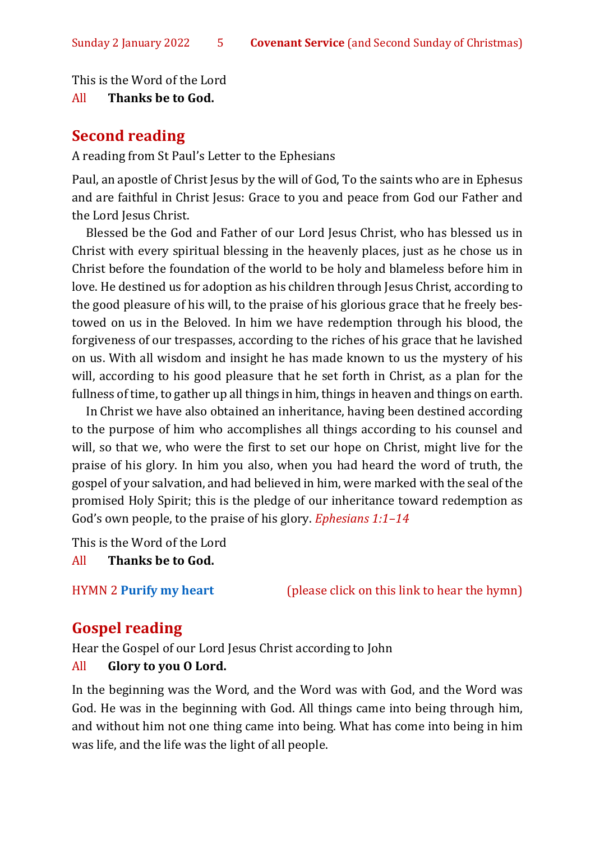This is the Word of the Lord

All **Thanks be to God.**

# **Second reading**

A reading from St Paul's Letter to the Ephesians

Paul, an apostle of Christ Jesus by the will of God, To the saints who are in Ephesus and are faithful in Christ Jesus: Grace to you and peace from God our Father and the Lord Jesus Christ.

Blessed be the God and Father of our Lord Jesus Christ, who has blessed us in Christ with every spiritual blessing in the heavenly places, just as he chose us in Christ before the foundation of the world to be holy and blameless before him in love. He destined us for adoption as his children through Jesus Christ, according to the good pleasure of his will, to the praise of his glorious grace that he freely bestowed on us in the Beloved. In him we have redemption through his blood, the forgiveness of our trespasses, according to the riches of his grace that he lavished on us. With all wisdom and insight he has made known to us the mystery of his will, according to his good pleasure that he set forth in Christ, as a plan for the fullness of time, to gather up all things in him, things in heaven and things on earth.

In Christ we have also obtained an inheritance, having been destined according to the purpose of him who accomplishes all things according to his counsel and will, so that we, who were the first to set our hope on Christ, might live for the praise of his glory. In him you also, when you had heard the word of truth, the gospel of your salvation, and had believed in him, were marked with the seal of the promised Holy Spirit; this is the pledge of our inheritance toward redemption as God's own people, to the praise of his glory. *Ephesians 1:1–14*

This is the Word of the Lord

All **Thanks be to God.**

HYMN 2 **[Purify](https://www.youtube.com/watch?v=0IvXA0yRDwY) my heart** (please click on this link to hear the hymn)

# **Gospel reading**

Hear the Gospel of our Lord Jesus Christ according to John

All **Glory to you O Lord.**

In the beginning was the Word, and the Word was with God, and the Word was God. He was in the beginning with God. All things came into being through him, and without him not one thing came into being. What has come into being in him was life, and the life was the light of all people.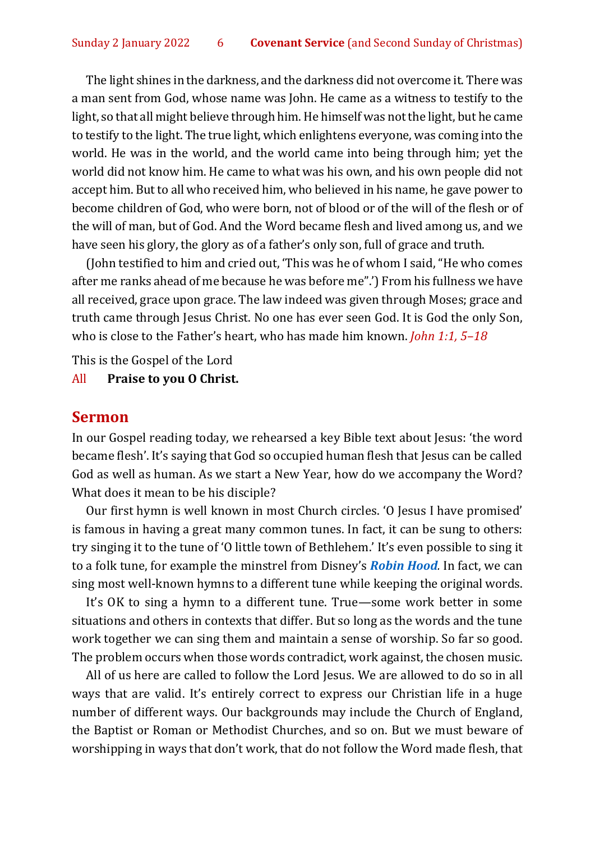The light shines in the darkness, and the darkness did not overcome it. There was a man sent from God, whose name was John. He came as a witness to testify to the light, so that all might believe through him. He himself was not the light, but he came to testify to the light. The true light, which enlightens everyone, was coming into the world. He was in the world, and the world came into being through him; yet the world did not know him. He came to what was his own, and his own people did not accept him. But to all who received him, who believed in his name, he gave power to become children of God, who were born, not of blood or of the will of the flesh or of the will of man, but of God. And the Word became flesh and lived among us, and we have seen his glory, the glory as of a father's only son, full of grace and truth.

(John testified to him and cried out, 'This was he of whom I said, "He who comes after me ranks ahead of me because he was before me".') From his fullness we have all received, grace upon grace. The law indeed was given through Moses; grace and truth came through Jesus Christ. No one has ever seen God. It is God the only Son, who is close to the Father's heart, who has made him known. *John 1:1, 5–18*

This is the Gospel of the Lord

All **Praise to you O Christ.**

#### **Sermon**

In our Gospel reading today, we rehearsed a key Bible text about Jesus: 'the word became flesh'. It's saying that God so occupied human flesh that Jesus can be called God as well as human. As we start a New Year, how do we accompany the Word? What does it mean to be his disciple?

Our first hymn is well known in most Church circles. 'O Jesus I have promised' is famous in having a great many common tunes. In fact, it can be sung to others: try singing it to the tune of 'O little town of Bethlehem.' It's even possible to sing it to a folk tune, for example the minstrel from Disney's *[Robin Hood](https://www.youtube.com/watch?v=HJog7PfkNRY).* In fact, we can sing most well-known hymns to a different tune while keeping the original words.

It's OK to sing a hymn to a different tune. True—some work better in some situations and others in contexts that differ. But so long as the words and the tune work together we can sing them and maintain a sense of worship. So far so good. The problem occurs when those words contradict, work against, the chosen music.

All of us here are called to follow the Lord Jesus. We are allowed to do so in all ways that are valid. It's entirely correct to express our Christian life in a huge number of different ways. Our backgrounds may include the Church of England, the Baptist or Roman or Methodist Churches, and so on. But we must beware of worshipping in ways that don't work, that do not follow the Word made flesh, that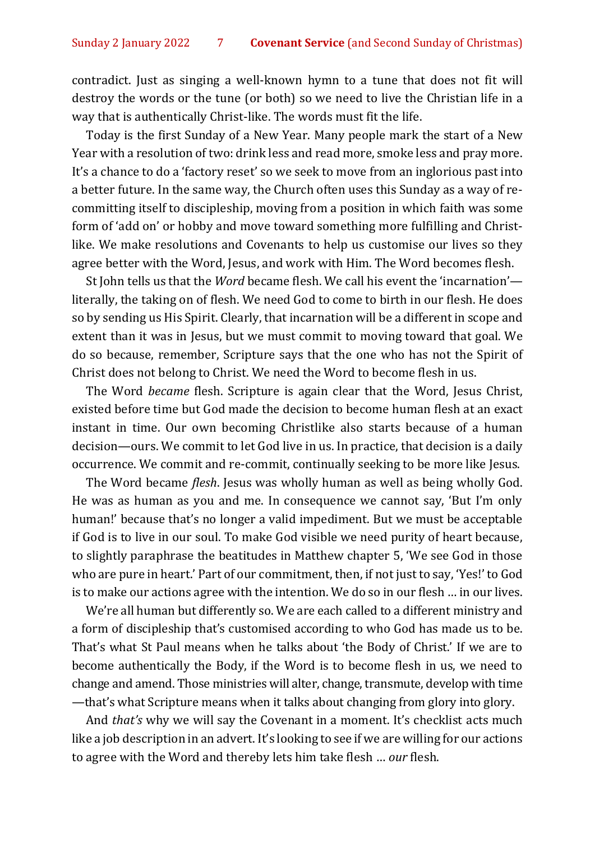contradict. Just as singing a well-known hymn to a tune that does not fit will destroy the words or the tune (or both) so we need to live the Christian life in a way that is authentically Christ-like. The words must fit the life.

Today is the first Sunday of a New Year. Many people mark the start of a New Year with a resolution of two: drink less and read more, smoke less and pray more. It's a chance to do a 'factory reset' so we seek to move from an inglorious past into a better future. In the same way, the Church often uses this Sunday as a way of recommitting itself to discipleship, moving from a position in which faith was some form of 'add on' or hobby and move toward something more fulfilling and Christlike. We make resolutions and Covenants to help us customise our lives so they agree better with the Word, Jesus, and work with Him. The Word becomes flesh.

St John tells us that the *Word* became flesh. We call his event the 'incarnation' literally, the taking on of flesh. We need God to come to birth in our flesh. He does so by sending us His Spirit. Clearly, that incarnation will be a different in scope and extent than it was in Jesus, but we must commit to moving toward that goal. We do so because, remember, Scripture says that the one who has not the Spirit of Christ does not belong to Christ. We need the Word to become flesh in us.

The Word *became* flesh. Scripture is again clear that the Word, Jesus Christ, existed before time but God made the decision to become human flesh at an exact instant in time. Our own becoming Christlike also starts because of a human decision—ours. We commit to let God live in us. In practice, that decision is a daily occurrence. We commit and re-commit, continually seeking to be more like Jesus.

The Word became *flesh*. Jesus was wholly human as well as being wholly God. He was as human as you and me. In consequence we cannot say, 'But I'm only human!' because that's no longer a valid impediment. But we must be acceptable if God is to live in our soul. To make God visible we need purity of heart because, to slightly paraphrase the beatitudes in Matthew chapter 5, 'We see God in those who are pure in heart.' Part of our commitment, then, if not just to say, 'Yes!' to God is to make our actions agree with the intention. We do so in our flesh … in our lives.

We're all human but differently so. We are each called to a different ministry and a form of discipleship that's customised according to who God has made us to be. That's what St Paul means when he talks about 'the Body of Christ.' If we are to become authentically the Body, if the Word is to become flesh in us, we need to change and amend. Those ministries will alter, change, transmute, develop with time —that's what Scripture means when it talks about changing from glory into glory.

And *that's* why we will say the Covenant in a moment. It's checklist acts much like a job description in an advert. It's looking to see if we are willing for our actions to agree with the Word and thereby lets him take flesh … *our* flesh.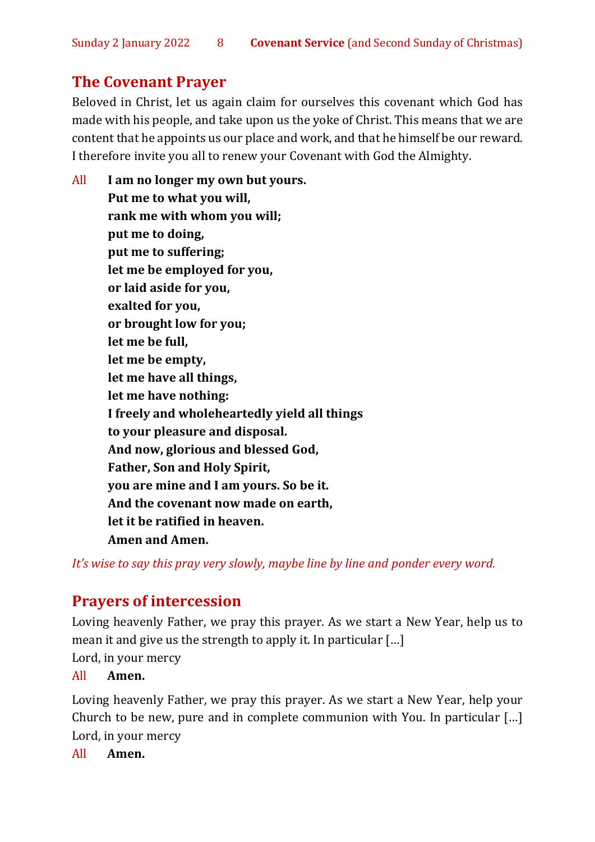# **The Covenant Prayer**

Beloved in Christ, let us again claim for ourselves this covenant which God has made with his people, and take upon us the yoke of Christ. This means that we are content that he appoints us our place and work, and that he himself be our reward. I therefore invite you all to renew your Covenant with God the Almighty.

All **I am no longer my own but yours. Put me to what you will, rank me with whom you will; put me to doing, put me to suffering; let me be employed for you, or laid aside for you, exalted for you, or brought low for you; let me be full, let me be empty, let me have all things, let me have nothing: I freely and wholeheartedly yield all things to your pleasure and disposal. And now, glorious and blessed God, Father, Son and Holy Spirit, you are mine and I am yours. So be it. And the covenant now made on earth, let it be ratified in heaven. Amen and Amen.**

*It's wise to say this pray very slowly, maybe line by line and ponder every word.*

# **Prayers of intercession**

Loving heavenly Father, we pray this prayer. As we start a New Year, help us to mean it and give us the strength to apply it. In particular […] Lord, in your mercy

All **Amen.**

Loving heavenly Father, we pray this prayer. As we start a New Year, help your Church to be new, pure and in complete communion with You. In particular […] Lord, in your mercy

All **Amen.**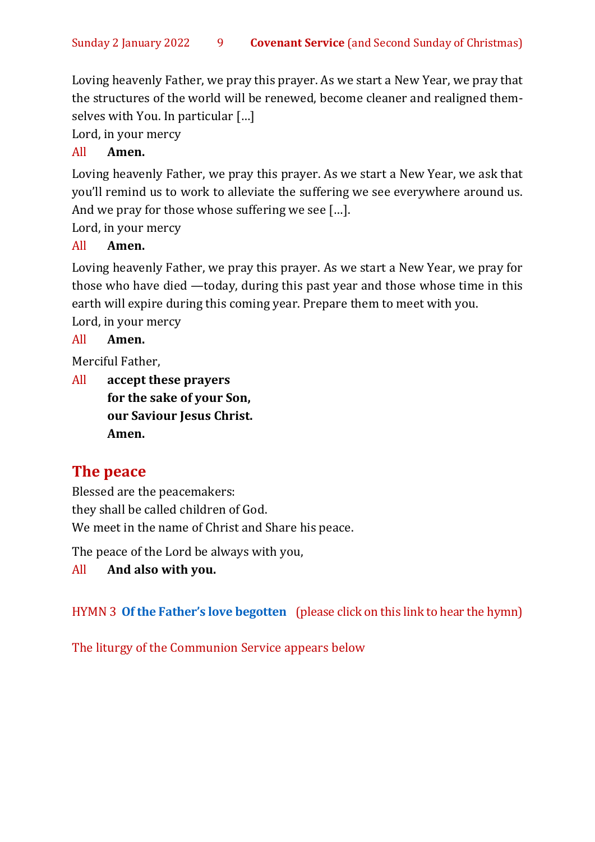Loving heavenly Father, we pray this prayer. As we start a New Year, we pray that the structures of the world will be renewed, become cleaner and realigned themselves with You. In particular […]

Lord, in your mercy

#### All **Amen.**

Loving heavenly Father, we pray this prayer. As we start a New Year, we ask that you'll remind us to work to alleviate the suffering we see everywhere around us. And we pray for those whose suffering we see […].

Lord, in your mercy

#### All **Amen.**

Loving heavenly Father, we pray this prayer. As we start a New Year, we pray for those who have died —today, during this past year and those whose time in this earth will expire during this coming year. Prepare them to meet with you.

Lord, in your mercy

#### All **Amen.**

Merciful Father,

All **accept these prayers for the sake of your Son, our Saviour Jesus Christ. Amen.**

## **The peace**

Blessed are the peacemakers: they shall be called children of God. We meet in the name of Christ and Share his peace.

The peace of the Lord be always with you,

#### All **And also with you.**

HYMN 3 **[Of the Father's love begotten](https://www.youtube.com/watch?v=6kK4JLP9i7U&t=12s)** (please click on this link to hear the hymn)

The liturgy of the Communion Service appears below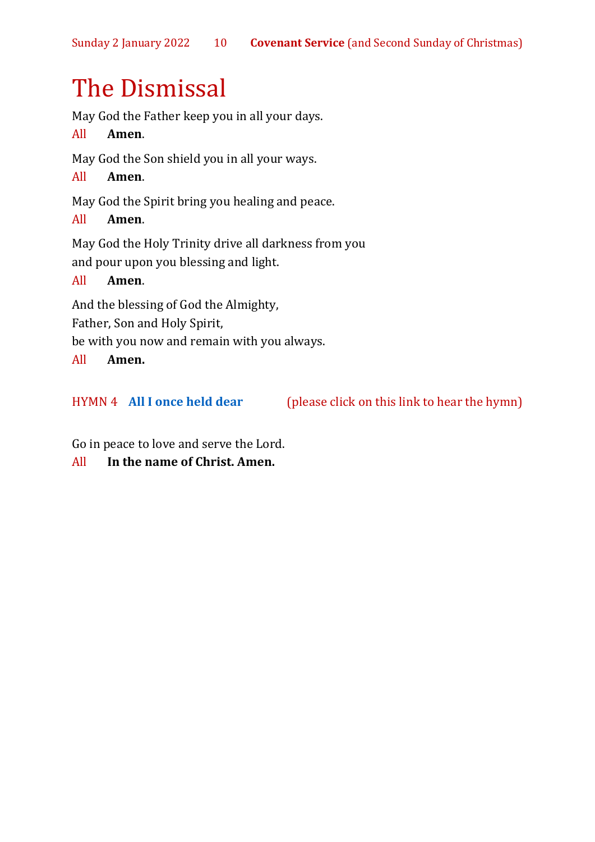# The Dismissal

May God the Father keep you in all your days.

#### All **Amen**.

May God the Son shield you in all your ways.

#### All **Amen**.

May God the Spirit bring you healing and peace.

#### All **Amen**.

May God the Holy Trinity drive all darkness from you and pour upon you blessing and light.

All **Amen**.

And the blessing of God the Almighty,

Father, Son and Holy Spirit,

be with you now and remain with you always.

#### All **Amen.**

HYMN 4 **[All I once held dear](https://www.youtube.com/watch?v=BxJUT0vhBLc)** (please click on this link to hear the hymn)

Go in peace to love and serve the Lord.

#### All **In the name of Christ. Amen.**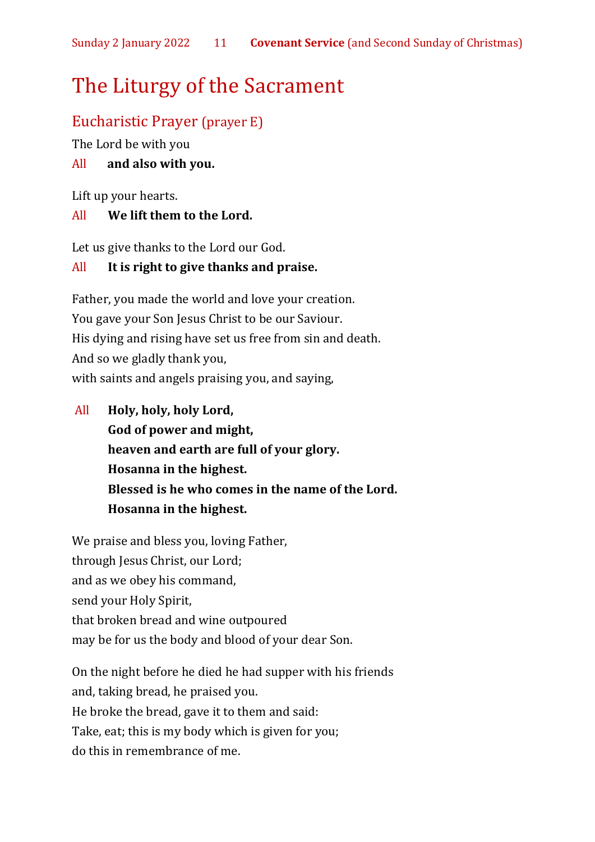# The Liturgy of the Sacrament

# Eucharistic Prayer (prayer E)

The Lord be with you

## All **and also with you.**

Lift up your hearts.

## All **We lift them to the Lord.**

Let us give thanks to the Lord our God.

## All **It is right to give thanks and praise.**

Father, you made the world and love your creation. You gave your Son Jesus Christ to be our Saviour. His dying and rising have set us free from sin and death. And so we gladly thank you, with saints and angels praising you, and saying,

All **Holy, holy, holy Lord, God of power and might, heaven and earth are full of your glory. Hosanna in the highest. Blessed is he who comes in the name of the Lord. Hosanna in the highest.**

We praise and bless you, loving Father, through Jesus Christ, our Lord; and as we obey his command, send your Holy Spirit, that broken bread and wine outpoured may be for us the body and blood of your dear Son.

On the night before he died he had supper with his friends and, taking bread, he praised you. He broke the bread, gave it to them and said: Take, eat; this is my body which is given for you; do this in remembrance of me.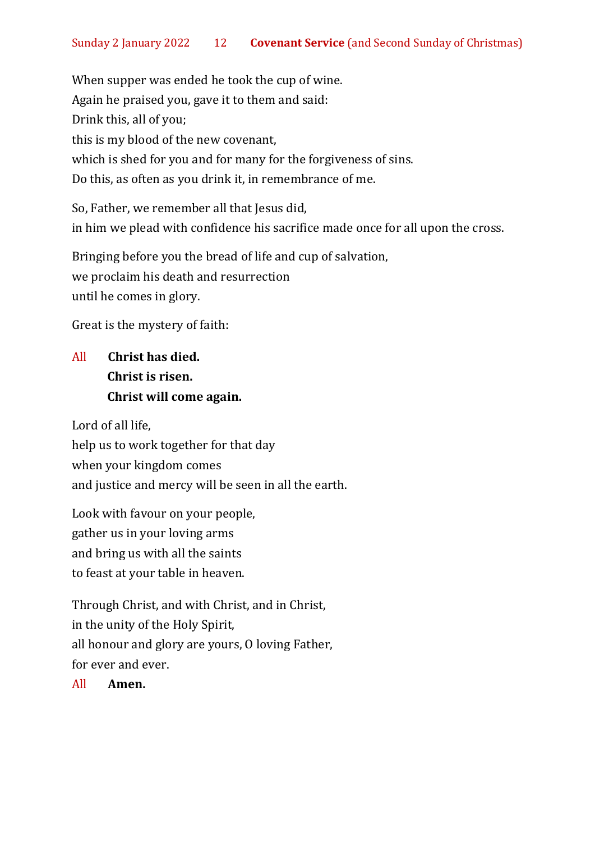When supper was ended he took the cup of wine. Again he praised you, gave it to them and said: Drink this, all of you; this is my blood of the new covenant, which is shed for you and for many for the forgiveness of sins. Do this, as often as you drink it, in remembrance of me.

So, Father, we remember all that Jesus did, in him we plead with confidence his sacrifice made once for all upon the cross.

Bringing before you the bread of life and cup of salvation, we proclaim his death and resurrection until he comes in glory.

Great is the mystery of faith:

# All **Christ has died. Christ is risen. Christ will come again.**

Lord of all life, help us to work together for that day when your kingdom comes and justice and mercy will be seen in all the earth.

Look with favour on your people, gather us in your loving arms and bring us with all the saints to feast at your table in heaven.

Through Christ, and with Christ, and in Christ, in the unity of the Holy Spirit, all honour and glory are yours, O loving Father, for ever and ever.

All **Amen.**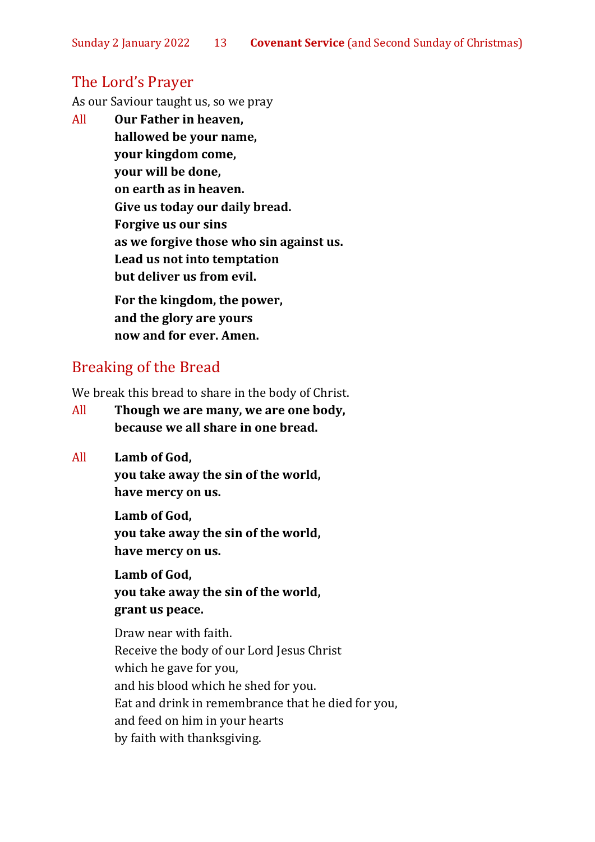## The Lord's Prayer

As our Saviour taught us, so we pray

All **Our Father in heaven, hallowed be your name, your kingdom come, your will be done, on earth as in heaven. Give us today our daily bread. Forgive us our sins as we forgive those who sin against us. Lead us not into temptation but deliver us from evil. For the kingdom, the power,**

**and the glory are yours now and for ever. Amen.**

## Breaking of the Bread

We break this bread to share in the body of Christ.

- All **Though we are many, we are one body, because we all share in one bread.**
- All **Lamb of God,**

**you take away the sin of the world, have mercy on us.**

**Lamb of God, you take away the sin of the world, have mercy on us.**

**Lamb of God, you take away the sin of the world, grant us peace.**

Draw near with faith. Receive the body of our Lord Jesus Christ which he gave for you, and his blood which he shed for you. Eat and drink in remembrance that he died for you, and feed on him in your hearts by faith with thanksgiving.